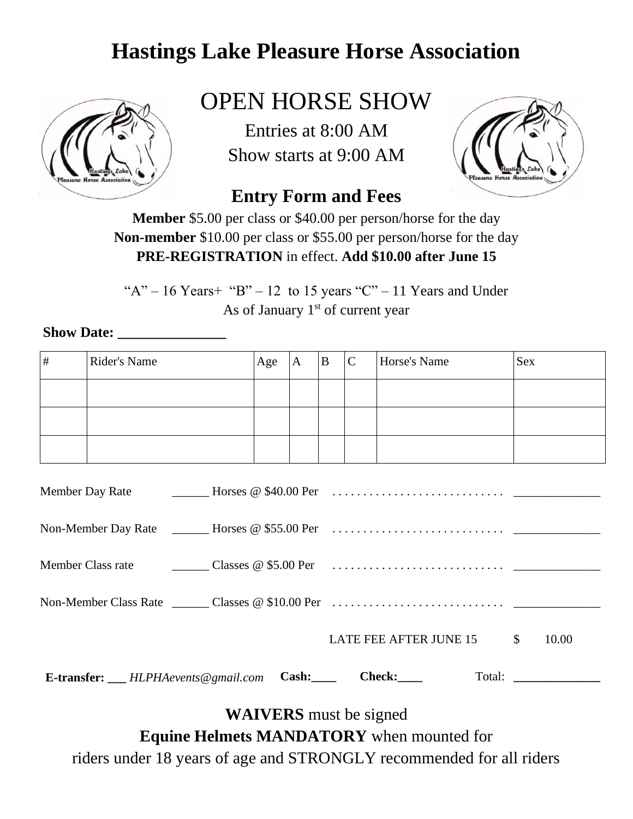

# OPEN HORSE SHOW

Entries at 8:00 AM Show starts at 9:00 AM



#### **Entry Form and Fees**

**Member** \$5.00 per class or \$40.00 per person/horse for the day **Non-member** \$10.00 per class or \$55.00 per person/horse for the day **PRE-REGISTRATION** in effect. **Add \$10.00 after June 15**

" $A$ " – 16 Years + " $B$ " – 12 to 15 years "C" – 11 Years and Under As of January  $1<sup>st</sup>$  of current year

#### **Show Date: \_\_\_\_\_\_\_\_\_\_\_\_\_\_\_**

| # | Rider's Name                                                                      | Age | A | B | $\mathbf C$ | Horse's Name              | <b>Sex</b> |
|---|-----------------------------------------------------------------------------------|-----|---|---|-------------|---------------------------|------------|
|   |                                                                                   |     |   |   |             |                           |            |
|   |                                                                                   |     |   |   |             |                           |            |
|   |                                                                                   |     |   |   |             |                           |            |
|   |                                                                                   |     |   |   |             |                           |            |
|   |                                                                                   |     |   |   |             |                           |            |
|   |                                                                                   |     |   |   |             |                           |            |
|   |                                                                                   |     |   |   |             |                           |            |
|   |                                                                                   |     |   |   |             | LATE FEE AFTER JUNE 15 \$ | 10.00      |
|   | <b>E-transfer:</b> $\qquad \qquad HLPHA events \textcircled{e} \text{g} mail.com$ |     |   |   |             | Cash: Check:              |            |

**WAIVERS** must be signed

**Equine Helmets MANDATORY** when mounted for

riders under 18 years of age and STRONGLY recommended for all riders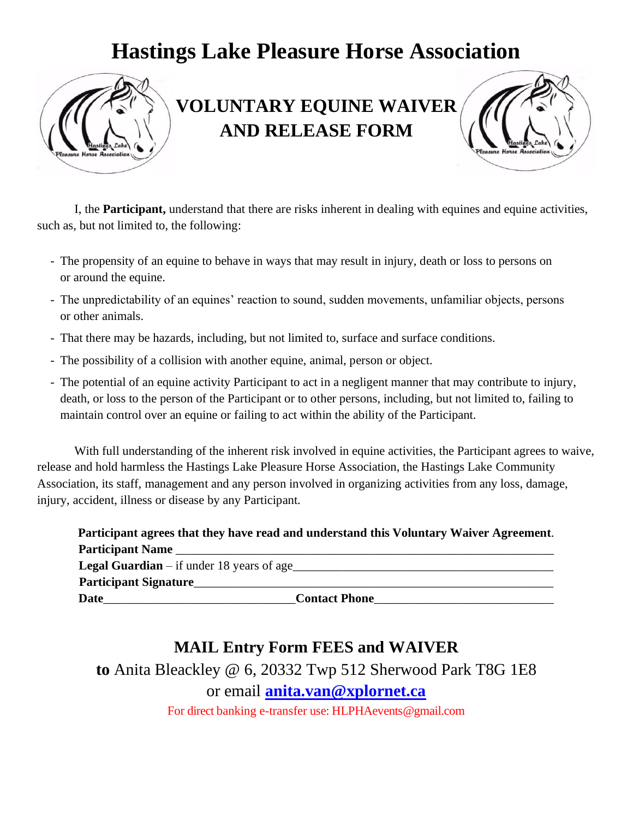

### **VOLUNTARY EQUINE WAIVER AND RELEASE FORM**



I, the **Participant,** understand that there are risks inherent in dealing with equines and equine activities, such as, but not limited to, the following:

- The propensity of an equine to behave in ways that may result in injury, death or loss to persons on or around the equine.
- The unpredictability of an equines' reaction to sound, sudden movements, unfamiliar objects, persons or other animals.
- That there may be hazards, including, but not limited to, surface and surface conditions.
- The possibility of a collision with another equine, animal, person or object.
- The potential of an equine activity Participant to act in a negligent manner that may contribute to injury, death, or loss to the person of the Participant or to other persons, including, but not limited to, failing to maintain control over an equine or failing to act within the ability of the Participant.

With full understanding of the inherent risk involved in equine activities, the Participant agrees to waive, release and hold harmless the Hastings Lake Pleasure Horse Association, the Hastings Lake Community Association, its staff, management and any person involved in organizing activities from any loss, damage, injury, accident, illness or disease by any Participant.

|                                                    | Participant agrees that they have read and understand this Voluntary Waiver Agreement. |
|----------------------------------------------------|----------------------------------------------------------------------------------------|
| Participant Name                                   |                                                                                        |
| <b>Legal Guardian</b> $-$ if under 18 years of age |                                                                                        |
| <b>Participant Signature</b>                       |                                                                                        |
| <b>Date</b>                                        | <b>Contact Phone</b>                                                                   |

#### **MAIL Entry Form FEES and WAIVER**

**to** Anita Bleackley @ 6, 20332 Twp 512 Sherwood Park T8G 1E8 or email **[anita.van@xplornet.ca](mailto:anita.van@xplornet.ca)**

For direct banking e-transfer use: HLPHAevents@gmail.com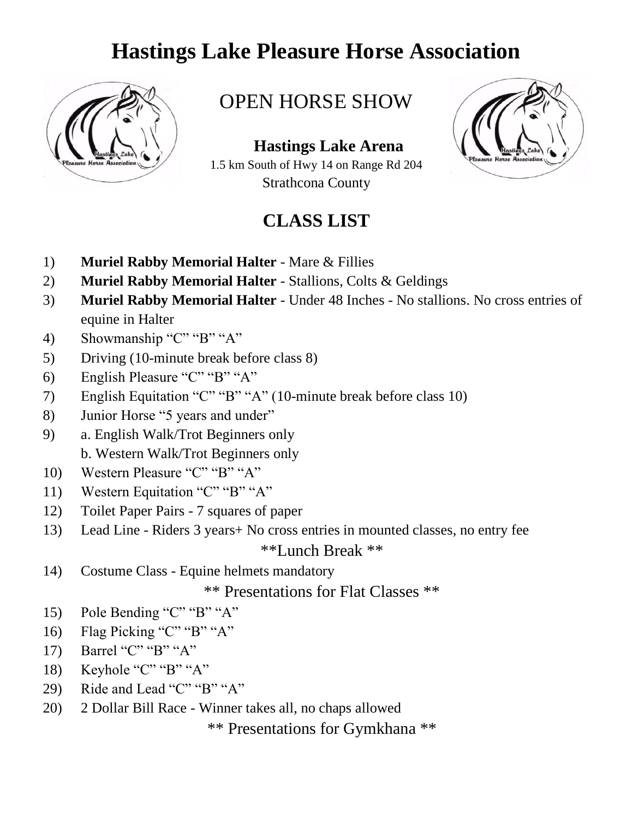

#### OPEN HORSE SHOW

 **Hastings Lake Arena** 1.5 km South of Hwy 14 on Range Rd 204 Strathcona County

#### **CLASS LIST**



- 1) **Muriel Rabby Memorial Halter** Mare & Fillies
- 2) **Muriel Rabby Memorial Halter** Stallions, Colts & Geldings
- 3) **Muriel Rabby Memorial Halter** Under 48 Inches No stallions. No cross entries of equine in Halter
- 4) Showmanship "C" "B" "A"
- 5) Driving (10-minute break before class 8)
- 6) English Pleasure "C" "B" "A"
- 7) English Equitation "C" "B" "A" (10-minute break before class 10)
- 8) Junior Horse "5 years and under"
- 9) a. English Walk/Trot Beginners only b. Western Walk/Trot Beginners only
- 10) Western Pleasure "C" "B" "A"
- 11) Western Equitation "C" "B" "A"
- 12) Toilet Paper Pairs 7 squares of paper
- 13) Lead Line Riders 3 years+ No cross entries in mounted classes, no entry fee \*\*Lunch Break \*\*
- 14) Costume Class Equine helmets mandatory

\*\* Presentations for Flat Classes \*\*

- 15) Pole Bending "C" "B" "A"
- 16) Flag Picking "C" "B" "A"
- 17) Barrel "C" "B" "A"
- 18) Keyhole "C" "B" "A"
- 29) Ride and Lead "C" "B" "A"
- 20) 2 Dollar Bill Race Winner takes all, no chaps allowed

\*\* Presentations for Gymkhana \*\*